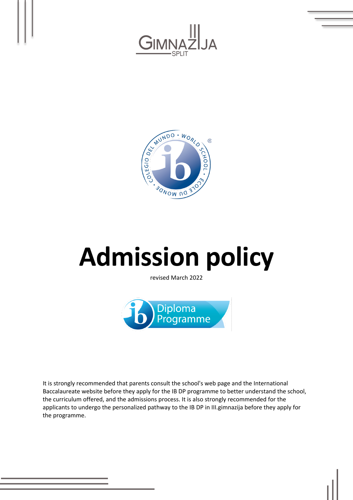



# **Admission policy**

revised March 2022



It is strongly recommended that parents consult the school's web page and the International Baccalaureate website before they apply for the IB DP programme to better understand the school, the curriculum offered, and the admissions process. It is also strongly recommended for the applicants to undergo the personalized pathway to the IB DP in III.gimnazija before they apply for the programme.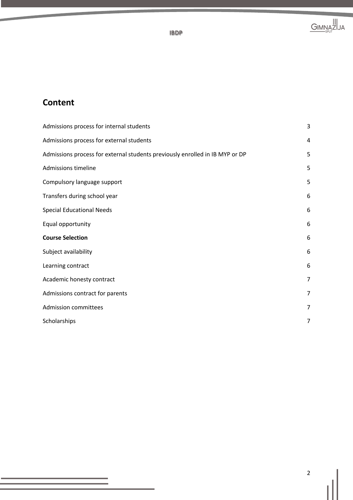

# **Content**

| Admissions process for internal students                                     | $\mathsf 3$    |
|------------------------------------------------------------------------------|----------------|
| Admissions process for external students                                     | 4              |
| Admissions process for external students previously enrolled in IB MYP or DP | 5              |
| Admissions timeline                                                          | 5              |
| Compulsory language support                                                  | 5              |
| Transfers during school year                                                 | 6              |
| <b>Special Educational Needs</b>                                             | 6              |
| Equal opportunity                                                            | 6              |
| <b>Course Selection</b>                                                      | 6              |
| Subject availability                                                         | 6              |
| Learning contract                                                            | 6              |
| Academic honesty contract                                                    | 7              |
| Admissions contract for parents                                              | $\overline{7}$ |
| <b>Admission committees</b>                                                  | 7              |
| Scholarships                                                                 | 7              |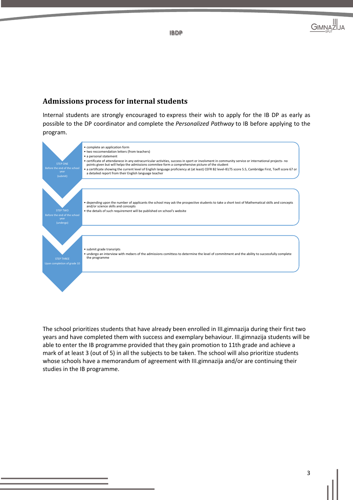

#### Admissions process for internal students

Internal students are strongly encouraged to express their wish to apply for the IB DP as early as possible to the DP coordinator and complete the *Personalized Pathway* to IB before applying to the program.



The school prioritizes students that have already been enrolled in III.gimnazija during their first two years and have completed them with success and exemplary behaviour. III.gimnazija students will be able to enter the IB programme provided that they gain promotion to 11th grade and achieve a mark of at least 3 (out of 5) in all the subjects to be taken. The school will also prioritize students whose schools have a memorandum of agreement with III.gimnazija and/or are continuing their studies in the IB programme.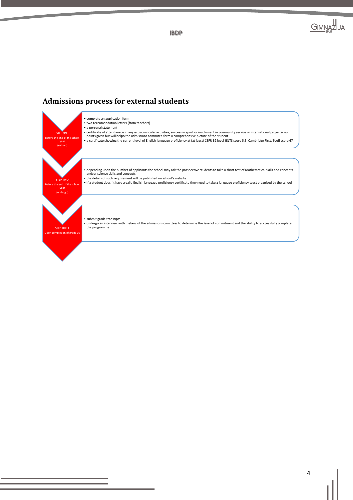

#### **Admissions process for external students**

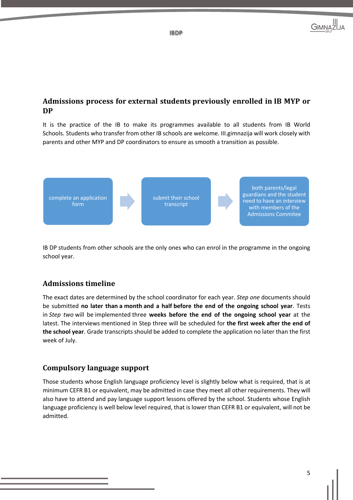

# Admissions process for external students previously enrolled in IB MYP or **DP**

It is the practice of the IB to make its programmes available to all students from IB World Schools. Students who transfer from other IB schools are welcome. III.gimnazija will work closely with parents and other MYP and DP coordinators to ensure as smooth a transition as possible.



IB DP students from other schools are the only ones who can enrol in the programme in the ongoing school year.

# **Admissions timeline**

The exact dates are determined by the school coordinator for each year. *Step one* documents should be submitted **no later than a month and a half before the end of the ongoing school year**. Tests in *Step two* will be implemented three **weeks before the end of the ongoing school year** at the latest. The interviews mentioned in Step three will be scheduled for **the first week after the end of the school year**. Grade transcripts should be added to complete the application no later than the first week of July.

#### **Compulsory language support**

Those students whose English language proficiency level is slightly below what is required, that is at minimum CEFR B1 or equivalent, may be admitted in case they meet all other requirements. They will also have to attend and pay language support lessons offered by the school. Students whose English language proficiency is well below level required, that is lower than CEFR B1 or equivalent, will not be admitted.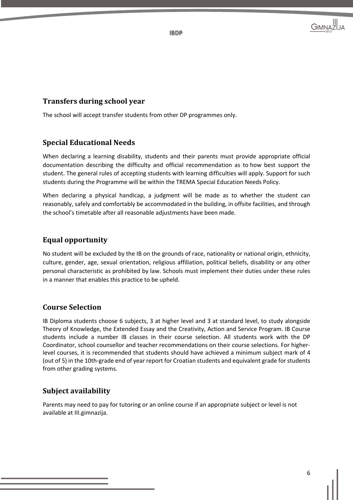

# **Transfers during school year**

The school will accept transfer students from other DP programmes only.

# **Special Educational Needs**

When declaring a learning disability, students and their parents must provide appropriate official documentation describing the difficulty and official recommendation as to how best support the student. The general rules of accepting students with learning difficulties will apply. Support for such students during the Programme will be within the TREMA Special Education Needs Policy.

When declaring a physical handicap, a judgment will be made as to whether the student can reasonably, safely and comfortably be accommodated in the building, in offsite facilities, and through the school's timetable after all reasonable adjustments have been made.

# **Equal opportunity**

No student will be excluded by the IB on the grounds of race, nationality or national origin, ethnicity, culture, gender, age, sexual orientation, religious affiliation, political beliefs, disability or any other personal characteristic as prohibited by law. Schools must implement their duties under these rules in a manner that enables this practice to be upheld.

# **Course Selection**

IB Diploma students choose 6 subjects, 3 at higher level and 3 at standard level, to study alongside Theory of Knowledge, the Extended Essay and the Creativity, Action and Service Program. IB Course students include a number IB classes in their course selection. All students work with the DP Coordinator, school counsellor and teacher recommendations on their course selections. For higherlevel courses, it is recommended that students should have achieved a minimum subject mark of 4 (out of 5) in the 10th-grade end of year report for Croatian students and equivalent grade for students from other grading systems.

# **Subject availability**

Parents may need to pay for tutoring or an online course if an appropriate subject or level is not available at III.gimnazija.